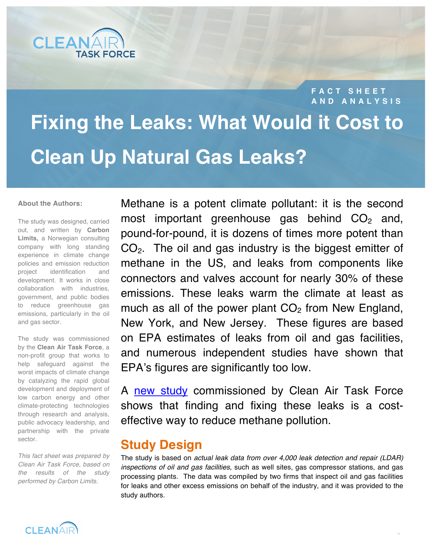

**FACT SHEET AND ANALYSIS**

 $\overline{1}$ 

# **Fixing the Leaks: What Would it Cost to Clean Up Natural Gas Leaks?**

#### **About the Authors:**

The study was designed, carried out, and written by **Carbon Limits,** a Norwegian consulting company with long standing experience in climate change policies and emission reduction project identification and development. It works in close collaboration with industries, government, and public bodies to reduce greenhouse gas emissions, particularly in the oil and gas sector.

The study was commissioned by the **Clean Air Task Force**, a non-profit group that works to help safeguard against the worst impacts of climate change by catalyzing the rapid global development and deployment of low carbon energy and other climate-protecting technologies through research and analysis, public advocacy leadership, and partnership with the private sector.

*This fact sheet was prepared by Clean Air Task Force, based on the results of the study performed by Carbon Limits.* 

Methane is a potent climate pollutant: it is the second most important greenhouse gas behind  $CO<sub>2</sub>$  and, pound-for-pound, it is dozens of times more potent than  $CO<sub>2</sub>$ . The oil and gas industry is the biggest emitter of methane in the US, and leaks from components like connectors and valves account for nearly 30% of these emissions. These leaks warm the climate at least as much as all of the power plant  $CO<sub>2</sub>$  from New England, New York, and New Jersey. These figures are based on EPA estimates of leaks from oil and gas facilities, and numerous independent studies have shown that EPA's figures are significantly too low.

A [new study](http://catf.us/resources/publications/view/198) commissioned by Clean Air Task Force shows that finding and fixing these leaks is a costeffective way to reduce methane pollution.

## **Study Design**

The study is based on *actual leak data from over 4,000 leak detection and repair (LDAR) inspections of oil and gas facilities,* such as well sites, gas compressor stations, and gas processing plants. The data was compiled by two firms that inspect oil and gas facilities for leaks and other excess emissions on behalf of the industry, and it was provided to the study authors.

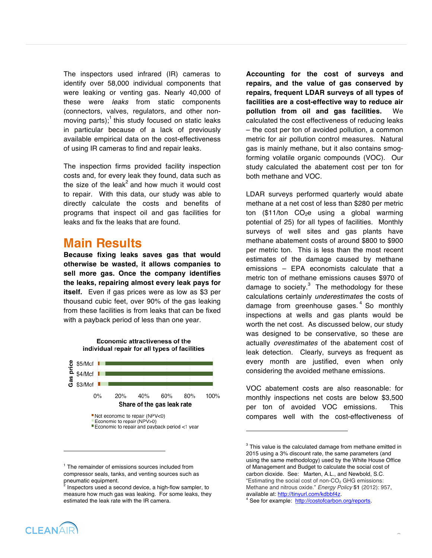The inspectors used infrared (IR) cameras to identify over 58,000 individual components that were leaking or venting gas. Nearly 40,000 of these were *leaks* from static components (connectors, valves, regulators, and other nonmoving parts);<sup>1</sup> this study focused on static leaks in particular because of a lack of previously available empirical data on the cost-effectiveness of using IR cameras to find and repair leaks.

The inspection firms provided facility inspection costs and, for every leak they found, data such as the size of the leak<sup>2</sup> and how much it would cost to repair. With this data, our study was able to directly calculate the costs and benefits of programs that inspect oil and gas facilities for leaks and fix the leaks that are found.

#### **Main Results**

**Because fixing leaks saves gas that would otherwise be wasted, it allows companies to sell more gas. Once the company identifies the leaks, repairing almost every leak pays for itself.** Even if gas prices were as low as \$3 per thousand cubic feet, over 90% of the gas leaking from these facilities is from leaks that can be fixed with a payback period of less than one year.



Economic attractiveness of the

<sup>1</sup> The remainder of emissions sources included from compressor seals, tanks, and venting sources such as **Accounting for the cost of surveys and repairs, and the value of gas conserved by repairs, frequent LDAR surveys of all types of facilities are a cost-effective way to reduce air pollution from oil and gas facilities.** We calculated the cost effectiveness of reducing leaks – the cost per ton of avoided pollution, a common metric for air pollution control measures. Natural gas is mainly methane, but it also contains smogforming volatile organic compounds (VOC). Our study calculated the abatement cost per ton for both methane and VOC.

LDAR surveys performed quarterly would abate methane at a net cost of less than \$280 per metric ton (\$11/ton  $CO<sub>2</sub>e$  using a global warming potential of 25) for all types of facilities. Monthly surveys of well sites and gas plants have methane abatement costs of around \$800 to \$900 per metric ton. This is less than the most recent estimates of the damage caused by methane emissions – EPA economists calculate that a metric ton of methane emissions causes \$970 of damage to society. $3$  The methodology for these calculations certainly *underestimates* the costs of damage from greenhouse gases. 4 So monthly inspections at wells and gas plants would be worth the net cost. As discussed below, our study was designed to be conservative, so these are actually *overestimates* of the abatement cost of leak detection*.* Clearly, surveys as frequent as every month are justified, even when only considering the avoided methane emissions.

VOC abatement costs are also reasonable: for monthly inspections net costs are below \$3,500 per ton of avoided VOC emissions. This compares well with the cost-effectiveness of

l

4



1

pneumatic equipment.<br><sup>2</sup> Inspectors used a second device, a high-flow sampler, to measure how much gas was leaking. For some leaks, they estimated the leak rate with the IR camera.

 $3$  This value is the calculated damage from methane emitted in 2015 using a 3% discount rate, the same parameters (and using the same methodology) used by the White House Office of Management and Budget to calculate the social cost of carbon dioxide. See: Marten, A.L., and Newbold, S.C. "Estimating the social cost of non-CO<sub>2</sub> GHG emissions: Methane and nitrous oxide." *Energy Policy* **51** (2012): 957, available at: http://tinyurl.com/kdbbf4z.

See for example: http://costofcarbon.org/reports.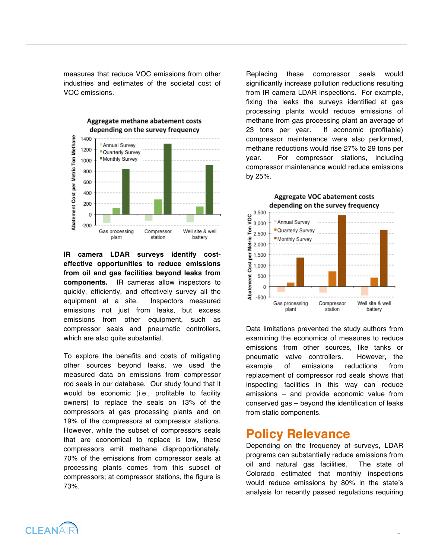measures that reduce VOC emissions from other industries and estimates of the societal cost of VOC emissions.



**IR camera LDAR surveys identify costeffective opportunities to reduce emissions from oil and gas facilities beyond leaks from components.** IR cameras allow inspectors to quickly, efficiently, and effectively survey all the equipment at a site. Inspectors measured emissions not just from leaks, but excess emissions from other equipment, such as compressor seals and pneumatic controllers, which are also quite substantial.

To explore the benefits and costs of mitigating other sources beyond leaks, we used the measured data on emissions from compressor rod seals in our database. Our study found that it would be economic (i.e., profitable to facility owners) to replace the seals on 13% of the compressors at gas processing plants and on 19% of the compressors at compressor stations. However, while the subset of compressors seals that are economical to replace is low, these compressors emit methane disproportionately. 70% of the emissions from compressor seals at processing plants comes from this subset of compressors; at compressor stations, the figure is 73%.

Replacing these compressor seals would significantly increase pollution reductions resulting from IR camera LDAR inspections. For example, fixing the leaks the surveys identified at gas processing plants would reduce emissions of methane from gas processing plant an average of 23 tons per year. If economic (profitable) compressor maintenance were also performed, methane reductions would rise 27% to 29 tons per year. For compressor stations, including compressor maintenance would reduce emissions by 25%.

Aggregate VOC abatement costs



Data limitations prevented the study authors from examining the economics of measures to reduce emissions from other sources, like tanks or pneumatic valve controllers. However, the example of emissions reductions from replacement of compressor rod seals shows that inspecting facilities in this way can reduce emissions – and provide economic value from conserved gas – beyond the identification of leaks from static components.

#### **Policy Relevance**

Depending on the frequency of surveys, LDAR programs can substantially reduce emissions from oil and natural gas facilities. The state of Colorado estimated that monthly inspections would reduce emissions by 80% in the state's analysis for recently passed regulations requiring

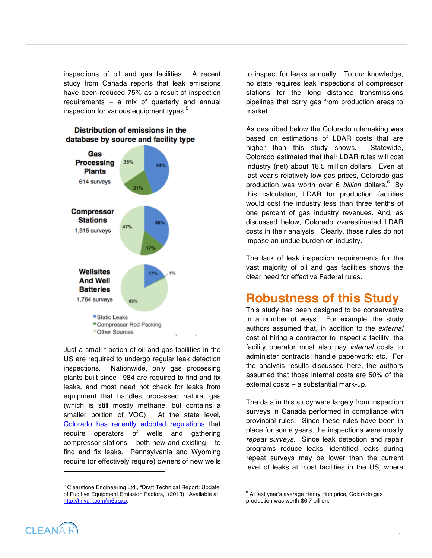inspections of oil and gas facilities. A recent study from Canada reports that leak emissions have been reduced 75% as a result of inspection requirements – a mix of quarterly and annual inspection for various equipment types. $5$ 

#### Distribution of emissions in the database by source and facility type



Just a small fraction of oil and gas facilities in the US are required to undergo regular leak detection inspections. Nationwide, only gas processing plants built since 1984 are required to find and fix leaks, and most need not check for leaks from equipment that handles processed natural gas (which is still mostly methane, but contains a smaller portion of VOC). At the state level, Colorado has recently adopted regulations that require operators of wells and gathering compressor stations – both new and existing – to find and fix leaks. Pennsylvania and Wyoming require (or effectively require) owners of new wells

<sup>5</sup> Clearstone Engineering Ltd., "Draft Technical Report: Update of Fugitive Equipment Emission Factors," (2013). Available at: http://tinyurl.com/m6trgxo.

to inspect for leaks annually. To our knowledge, no state requires leak inspections of compressor stations for the long distance transmissions pipelines that carry gas from production areas to market.

As described below the Colorado rulemaking was based on estimations of LDAR costs that are higher than this study shows. Statewide, Colorado estimated that their LDAR rules will cost industry (net) about 18.5 million dollars. Even at last year's relatively low gas prices, Colorado gas production was worth over 6 *billion* dollars.<sup>6</sup> By this calculation, LDAR for production facilities would cost the industry less than three tenths of one percent of gas industry revenues. And, as discussed below, Colorado *over*estimated LDAR costs in their analysis. Clearly, these rules do not impose an undue burden on industry.

The lack of leak inspection requirements for the vast majority of oil and gas facilities shows the clear need for effective Federal rules.

## **Robustness of this Study**

This study has been designed to be conservative in a number of ways. For example, the study authors assumed that, in addition to the *external*  cost of hiring a contractor to inspect a facility, the facility operator must also pay *internal* costs to administer contracts; handle paperwork; etc. For the analysis results discussed here, the authors assumed that those internal costs are 50% of the external costs – a substantial mark-up.

The data in this study were largely from inspection surveys in Canada performed in compliance with provincial rules. Since these rules have been in place for some years, the inspections were mostly *repeat surveys.* Since leak detection and repair programs reduce leaks, identified leaks during repeat surveys may be lower than the current level of leaks at most facilities in the US, where

l

4



-

<sup>&</sup>lt;sup>6</sup> At last year's average Henry Hub price, Colorado gas production was worth \$6.7 billion.